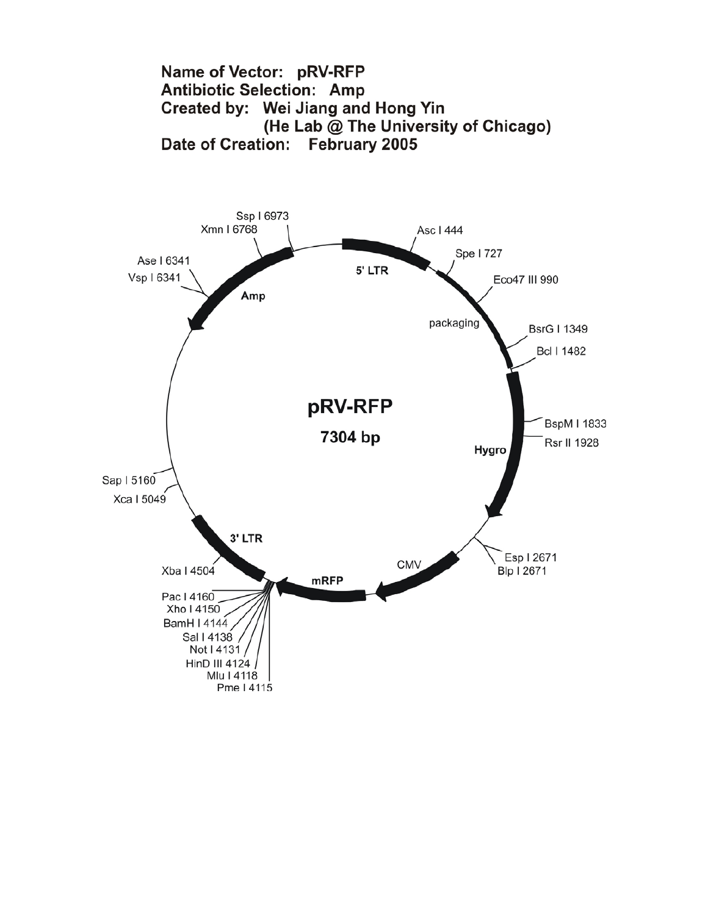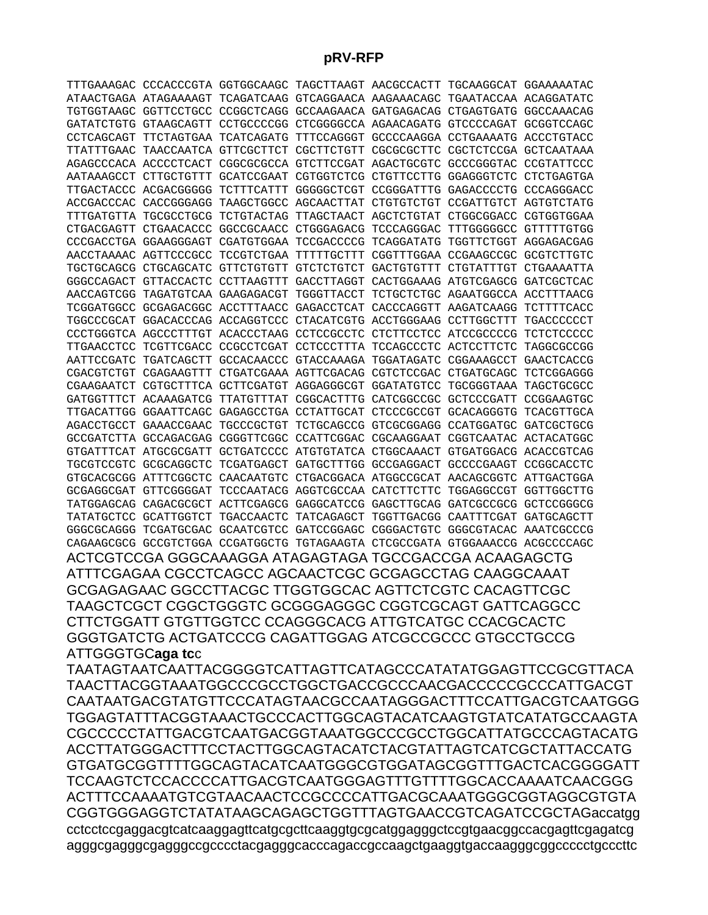**pRV-RFP** 

TTTGAAAGAC CCCACCCGTA GGTGGCAAGC TAGCTTAAGT AACGCCACTT TGCAAGGCAT GGAAAAATAC ATAACTGAGA ATAGAAAAGT TCAGATCAAG GTCAGGAACA AAGAAACAGC TGAATACCAA ACAGGATATC TGTGGTAAGC GGTTCCTGCC CCGGCTCAGG GCCAAGAACA GATGAGACAG CTGAGTGATG GGCCAAACAG GATATCTGTG GTAAGCAGTT CCTGCCCCGG CTCGGGGCCA AGAACAGATG GTCCCCAGAT GCGGTCCAGC CCTCAGCAGT TTCTAGTGAA TCATCAGATG TTTCCAGGGT GCCCCAAGGA CCTGAAAATG ACCCTGTACC TTATTTGAAC TAACCAATCA GTTCGCTTCT CGCTTCTGTT CGCGCGCTTC CGCTCTCCGA GCTCAATAAA AGAGCCCACA ACCCCTCACT CGGCGCGCCA GTCTTCCGAT AGACTGCGTC GCCCGGGTAC CCGTATTCCC AATAAAGCCT CTTGCTGTTT GCATCCGAAT CGTGGTCTCG CTGTTCCTTG GGAGGGTCTC CTCTGAGTGA TTGACTACCC ACGACGGGGG TCTTTCATTT GGGGGCTCGT CCGGGATTTG GAGACCCCTG CCCAGGGACC ACCGACCCAC CACCGGGAGG TAAGCTGGCC AGCAACTTAT CTGTGTCTGT CCGATTGTCT AGTGTCTATG TTTGATGTTA TGCGCCTGCG TCTGTACTAG TTAGCTAACT AGCTCTGTAT CTGGCGGACC CGTGGTGGAA CTGACGAGTT CTGAACACCC GGCCGCAACC CTGGGAGACG TCCCAGGGAC TTTGGGGGCC GTTTTTGTGG CCCGACCTGA GGAAGGGAGT CGATGTGGAA TCCGACCCCG TCAGGATATG TGGTTCTGGT AGGAGACGAG AACCTAAAAC AGTTCCCGCC TCCGTCTGAA TTTTTGCTTT CGGTTTGGAA CCGAAGCCGC GCGTCTTGTC TGCTGCAGCG CTGCAGCATC GTTCTGTGTT GTCTCTGTCT GACTGTGTTT CTGTATTTGT CTGAAAATTA GGGCCAGACT GTTACCACTC CCTTAAGTTT GACCTTAGGT CACTGGAAAG ATGTCGAGCG GATCGCTCAC AACCAGTCGG TAGATGTCAA GAAGAGACGT TGGGTTACCT TCTGCTCTGC AGAATGGCCA ACCTTTAACG TCGGATGGCC GCGAGACGGC ACCTTTAACC GAGACCTCAT CACCCAGGTT AAGATCAAGG TCTTTTCACC TGGCCCGCAT GGACACCCAG ACCAGGTCCC CTACATCGTG ACCTGGGAAG CCTTGGCTTT TGACCCCCCT CCCTGGGTCA AGCCCTTTGT ACACCCTAAG CCTCCGCCTC CTCTTCCTCC ATCCGCCCCG TCTCTCCCCC TTGAACCTCC TCGTTCGACC CCGCCTCGAT CCTCCCTTTA TCCAGCCCTC ACTCCTTCTC TAGGCGCCGG AATTCCGATC TGATCAGCTT GCCACAACCC GTACCAAAGA TGGATAGATC CGGAAAGCCT GAACTCACCG CGACGTCTGT CGAGAAGTTT CTGATCGAAA AGTTCGACAG CGTCTCCGAC CTGATGCAGC TCTCGGAGGG CGAAGAATCT CGTGCTTTCA GCTTCGATGT AGGAGGGCGT GGATATGTCC TGCGGGTAAA TAGCTGCGCC GATGGTTTCT ACAAAGATCG TTATGTTTAT CGGCACTTTG CATCGGCCGC GCTCCCGATT CCGGAAGTGC TTGACATTGG GGAATTCAGC GAGAGCCTGA CCTATTGCAT CTCCCGCCGT GCACAGGGTG TCACGTTGCA AGACCTGCCT GAAACCGAAC TGCCCGCTGT TCTGCAGCCG GTCGCGGAGG CCATGGATGC GATCGCTGCG GCCGATCTTA GCCAGACGAG CGGGTTCGGC CCATTCGGAC CGCAAGGAAT CGGTCAATAC ACTACATGGC GTGATTTCAT ATGCGCGATT GCTGATCCCC ATGTGTATCA CTGGCAAACT GTGATGGACG ACACCGTCAG TGCGTCCGTC GCGCAGGCTC TCGATGAGCT GATGCTTTGG GCCGAGGACT GCCCCGAAGT CCGGCACCTC GTGCACGCGG ATTTCGGCTC CAACAATGTC CTGACGGACA ATGGCCGCAT AACAGCGGTC ATTGACTGGA GCGAGGCGAT GTTCGGGGAT TCCCAATACG AGGTCGCCAA CATCTTCTTC TGGAGGCCGT GGTTGGCTTG TATGGAGCAG CAGACGCGCT ACTTCGAGCG GAGGCATCCG GAGCTTGCAG GATCGCCGCG GCTCCGGGCG TATATGCTCC GCATTGGTCT TGACCAACTC TATCAGAGCT TGGTTGACGG CAATTTCGAT GATGCAGCTT GGGCGCAGGG TCGATGCGAC GCAATCGTCC GATCCGGAGC CGGGACTGTC GGGCGTACAC AAATCGCCCG CAGAAGCGCG GCCGTCTGGA CCGATGGCTG TGTAGAAGTA CTCGCCGATA GTGGAAACCG ACGCCCCAGC

ACTCGTCCGA GGGCAAAGGA ATAGAGTAGA TGCCGACCGA ACAAGAGCTG ATTTCGAGAA CGCCTCAGCC AGCAACTCGC GCGAGCCTAG CAAGGCAAAT GCGAGAGAAC GGCCTTACGC TTGGTGGCAC AGTTCTCGTC CACAGTTCGC TAAGCTCGCT CGGCTGGGTC GCGGGAGGGC CGGTCGCAGT GATTCAGGCC CTTCTGGATT GTGTTGGTCC CCAGGGCACG ATTGTCATGC CCACGCACTC GGGTGATCTG ACTGATCCCG CAGATTGGAG ATCGCCGCCC GTGCCTGCCG ATTGGGTGC**aga tc**c

TAATAGTAATCAATTACGGGGTCATTAGTTCATAGCCCATATATGGAGTTCCGCGTTACA TAACTTACGGTAAATGGCCCGCCTGGCTGACCGCCCAACGACCCCCGCCCATTGACGT CAATAATGACGTATGTTCCCATAGTAACGCCAATAGGGACTTTCCATTGACGTCAATGGG TGGAGTATTTACGGTAAACTGCCCACTTGGCAGTACATCAAGTGTATCATATGCCAAGTA CGCCCCCTATTGACGTCAATGACGGTAAATGGCCCGCCTGGCATTATGCCCAGTACATG ACCTTATGGGACTTTCCTACTTGGCAGTACATCTACGTATTAGTCATCGCTATTACCATG GTGATGCGGTTTTGGCAGTACATCAATGGGCGTGGATAGCGGTTTGACTCACGGGGATT TCCAAGTCTCCACCCCATTGACGTCAATGGGAGTTTGTTTTGGCACCAAAATCAACGGG ACTTTCCAAAATGTCGTAACAACTCCGCCCCATTGACGCAAATGGGCGGTAGGCGTGTA CGGTGGGAGGTCTATATAAGCAGAGCTGGTTTAGTGAACCGTCAGATCCGCTAGaccatgg cctcctccgaggacgtcatcaaggagttcatgcgcttcaaggtgcgcatggagggctccgtgaacggccacgagttcgagatcg agggcgagggcgagggccgcccctacgagggcacccagaccgccaagctgaaggtgaccaagggcggccccctgcccttc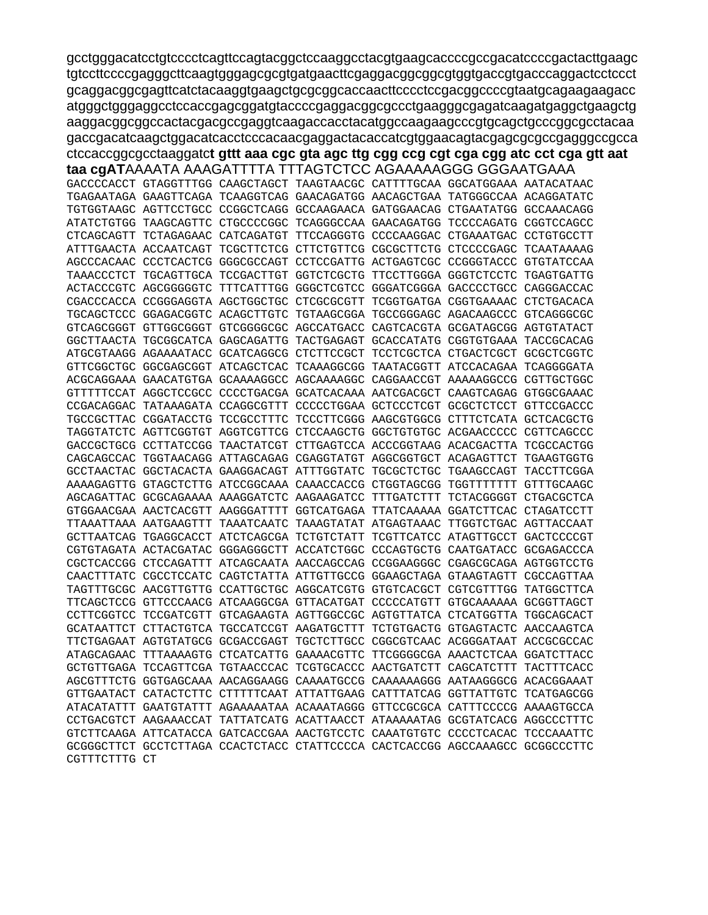gcctgggacatcctgtcccctcagttccagtacggctccaaggcctacgtgaagcaccccgccgacatccccgactacttgaagc tgtccttccccgagggcttcaagtgggagcgcgtgatgaacttcgaggacggcggcgtggtgaccgtgacccaggactcctccct gcaggacggcgagttcatctacaaggtgaagctgcgcggcaccaacttcccctccgacggccccgtaatgcagaagaagacc atgggctgggaggcctccaccgagcggatgtaccccgaggacggcgccctgaagggcgagatcaagatgaggctgaagctg aaggacggcggccactacgacgccgaggtcaagaccacctacatggccaagaagcccgtgcagctgcccggcgcctacaa gaccgacatcaagctggacatcacctcccacaacgaggactacaccatcgtggaacagtacgagcgcgccgagggccgcca ctccaccggcgcctaaggatet gttt aaa cgc gta agc ttg cgg ccg cgt cga cgg atc cct cga gtt aat

taa cgATAAAATA AAAGATTTTA TTTAGTCTCC AGAAAAAGGG GGGAATGAAA GACCCCACCT GTAGGTTTGG CAAGCTAGCT TAAGTAACGC CATTTTGCAA GGCATGGAAA AATACATAAC TGAGAATAGA GAAGTTCAGA TCAAGGTCAG GAACAGATGG AACAGCTGAA TATGGGCCAA ACAGGATATC TGTGGTAAGC AGTTCCTGCC CCGGCTCAGG GCCAAGAACA GATGGAACAG CTGAATATGG GCCAAACAGG ATATCTGTGG TAAGCAGTTC CTGCCCCGGC TCAGGGCCAA GAACAGATGG TCCCCAGATG CGGTCCAGCC CTCAGCAGTT TCTAGAGAAC CATCAGATGT TTCCAGGGTG CCCCAAGGAC CTGAAATGAC CCTGTGCCTT ATTTGAACTA ACCAATCAGT TCGCTTCTCG CTTCTGTTCG CGCGCTTCTG CTCCCCGAGC TCAATAAAAG AGCCCACAAC CCCTCACTCG GGGCGCCAGT CCTCCGATTG ACTGAGTCGC CCGGGTACCC GTGTATCCAA TAAACCCTCT TGCAGTTGCA TCCGACTTGT GGTCTCGCTG TTCCTTGGGA GGGTCTCCTC TGAGTGATTG ACTACCCGTC AGCGGGGGTC TTTCATTTGG GGGCTCGTCC GGGATCGGGA GACCCCTGCC CAGGGACCAC CGACCCACCA CCGGGAGGTA AGCTGGCTGC CTCGCGCGTT TCGGTGATGA CGGTGAAAAC CTCTGACACA TGCAGCTCCC GGAGACGGTC ACAGCTTGTC TGTAAGCGGA TGCCGGGAGC AGACAAGCCC GTCAGGGCGC GTCAGCGGGT GTTGGCGGGT GTCGGGGCGC AGCCATGACC CAGTCACGTA GCGATAGCGG AGTGTATACT GGCTTAACTA TGCGGCATCA GAGCAGATTG TACTGAGAGT GCACCATATG CGGTGTGAAA TACCGCACAG ATGCGTAAGG AGAAAATACC GCATCAGGCG CTCTTCCGCT TCCTCGCTCA CTGACTCGCT GCGCTCGGTC GTTCGGCTGC GGCGAGCGGT ATCAGCTCAC TCAAAGGCGG TAATACGGTT ATCCACAGAA TCAGGGGATA ACGCAGGAAA GAACATGTGA GCAAAAGGCC AGCAAAAGGC CAGGAACCGT AAAAAGGCCG CGTTGCTGGC GTTTTTCCAT AGGCTCCGCC CCCCTGACGA GCATCACAAA AATCGACGCT CAAGTCAGAG GTGGCGAAAC CCGACAGGAC TATAAAGATA CCAGGCGTTT CCCCCTGGAA GCTCCCTCGT GCGCTCTCCT GTTCCGACCC TGCCGCTTAC CGGATACCTG TCCGCCTTTC TCCCTTCGGG AAGCGTGGCG CTTTCTCATA GCTCACGCTG TAGGTATCTC AGTTCGGTGT AGGTCGTTCG CTCCAAGCTG GGCTGTGTGC ACGAACCCCC CGTTCAGCCC GACCGCTGCG CCTTATCCGG TAACTATCGT CTTGAGTCCA ACCCGGTAAG ACACGACTTA TCGCCACTGG CAGCAGCCAC TGGTAACAGG ATTAGCAGAG CGAGGTATGT AGGCGGTGCT ACAGAGTTCT TGAAGTGGTG GCCTAACTAC GGCTACACTA GAAGGACAGT ATTTGGTATC TGCGCTCTGC TGAAGCCAGT TACCTTCGGA AAAAGAGTTG GTAGCTCTTG ATCCGGCAAA CAAACCACCG CTGGTAGCGG TGGTTTTTTT GTTTGCAAGC AGCAGATTAC GCGCAGAAAA AAAGGATCTC AAGAAGATCC TTTGATCTTT TCTACGGGGT CTGACGCTCA GTGGAACGAA AACTCACGTT AAGGGATTTT GGTCATGAGA TTATCAAAAA GGATCTTCAC CTAGATCCTT TTAAATTAAA AATGAAGTTT TAAATCAATC TAAAGTATAT ATGAGTAAAC TTGGTCTGAC AGTTACCAAT GCTTAATCAG TGAGGCACCT ATCTCAGCGA TCTGTCTATT TCGTTCATCC ATAGTTGCCT GACTCCCCGT CGTGTAGATA ACTACGATAC GGGAGGGCTT ACCATCTGGC CCCAGTGCTG CAATGATACC GCGAGACCCA CGCTCACCGG CTCCAGATTT ATCAGCAATA AACCAGCCAG CCGGAAGGGC CGAGCGCAGA AGTGGTCCTG CAACTTTATC CGCCTCCATC CAGTCTATTA ATTGTTGCCG GGAAGCTAGA GTAAGTAGTT CGCCAGTTAA TAGTTTGCGC AACGTTGTTG CCATTGCTGC AGGCATCGTG GTGTCACGCT CGTCGTTTGG TATGGCTTCA TTCAGCTCCG GTTCCCAACG ATCAAGGCGA GTTACATGAT CCCCCATGTT GTGCAAAAAA GCGGTTAGCT CCTTCGGTCC TCCGATCGTT GTCAGAAGTA AGTTGGCCGC AGTGTTATCA CTCATGGTTA TGGCAGCACT GCATAATTCT CTTACTGTCA TGCCATCCGT AAGATGCTTT TCTGTGACTG GTGAGTACTC AACCAAGTCA TTCTGAGAAT AGTGTATGCG GCGACCGAGT TGCTCTTGCC CGGCGTCAAC ACGGGATAAT ACCGCGCCAC ATAGCAGAAC TTTAAAAGTG CTCATCATTG GAAAACGTTC TTCGGGGCGA AAACTCTCAA GGATCTTACC GCTGTTGAGA TCCAGTTCGA TGTAACCCAC TCGTGCACCC AACTGATCTT CAGCATCTTT TACTTTCACC AGCGTTTCTG GGTGAGCAAA AACAGGAAGG CAAAATGCCG CAAAAAAGGG AATAAGGGCG ACACGGAAAT GTTGAATACT CATACTCTTC CTTTTTCAAT ATTATTGAAG CATTTATCAG GGTTATTGTC TCATGAGCGG ATACATATTT GAATGTATTT AGAAAAATAA ACAAATAGGG GTTCCGCGCA CATTTCCCCG AAAAGTGCCA CCTGACGTCT AAGAAACCAT TATTATCATG ACATTAACCT ATAAAAATAG GCGTATCACG AGGCCCTTTC GTCTTCAAGA ATTCATACCA GATCACCGAA AACTGTCCTC CAAATGTGTC CCCCTCACAC TCCCAAATTC GCGGGCTTCT GCCTCTTAGA CCACTCTACC CTATTCCCCA CACTCACCGG AGCCAAAGCC GCGGCCCTTC CGTTTCTTTG CT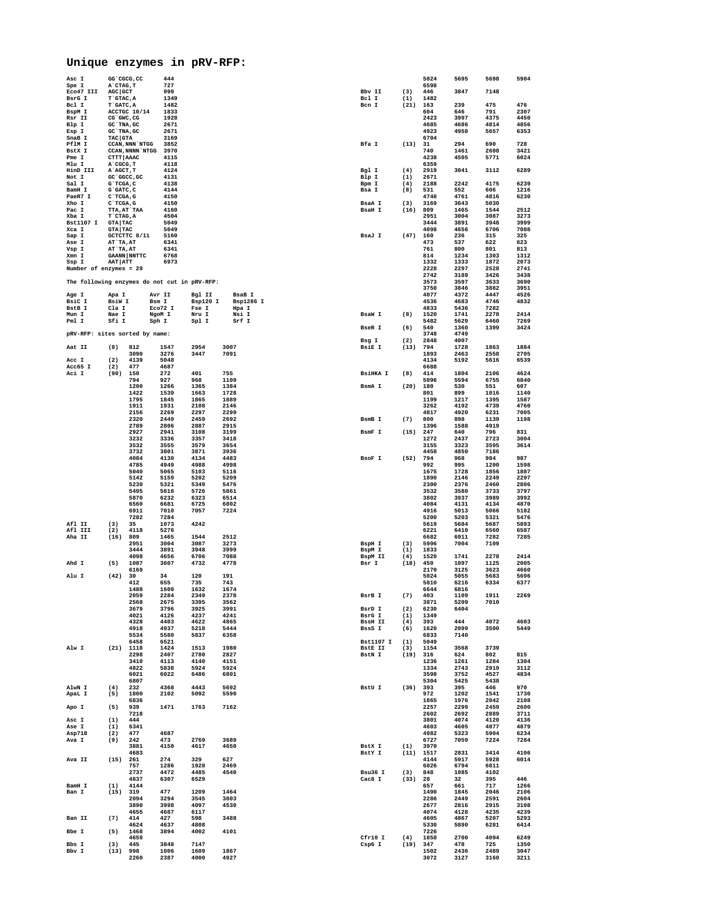## **Unique enzymes in pRV-RFP:**

| Asc I                                        |                                  | GG <sup>-</sup> CGCG, CC | 444                 |                |                |                   |                 | 5024                | 5695         | 5698         | 5904         |
|----------------------------------------------|----------------------------------|--------------------------|---------------------|----------------|----------------|-------------------|-----------------|---------------------|--------------|--------------|--------------|
| Spe I<br>Eco47 III                           | A`CTAG, T<br>AGC GCT             |                          | 727<br>990          |                |                | Bbv II            | (3)             | 6598<br>446         | 3847         | 7148         |              |
| BsrG I                                       | T GTAC, A                        |                          | 1349                |                |                | Bcl I             | (1)             | 1482                |              |              |              |
| Bcl I                                        | T GATC.A                         |                          | 1482                |                |                | Bcn I             | (21)            | 163                 | 239          | 475          | 476          |
| BspM I<br>Rsr II                             | CG GWC, CG                       | ACCTGC 10/14             | 1833<br>1928        |                |                |                   |                 | 604<br>2423         | 646<br>3997  | 791<br>4375  | 2307<br>4450 |
| Blp I                                        | GC TNA, GC                       |                          | 2671                |                |                |                   |                 | 4685                | 4686         | 4814         | 4856         |
| Esp I                                        | GC TNA, GC                       |                          | 2671                |                |                |                   |                 | 4923                | 4958         | 5657         | 6353         |
| SnaB I<br>PflM I                             | TAC GTA                          | CCAN, NNN `NTGG          | 3169<br>3852        |                |                | Bfa I             | (13)            | 6704<br>31          | 294          | 690          | 728          |
| BstX I                                       |                                  | CCAN, NNNN NTGG          | 3970                |                |                |                   |                 | 740                 | 1461         | 2608         | 3421         |
| Pme I                                        | CTTT AAAC                        |                          | 4115                |                |                |                   |                 | 4238                | 4505         | 5771         | 6024         |
| Mlu I<br>HinD III                            | A`CGCG, T<br>A`AGCT, T           |                          | 4118<br>4124        |                |                | Bgl I             | (4)             | 6359<br>2919        | 3041         | 3112         | 6289         |
| Not I                                        |                                  | GC GGCC, GC              | 4131                |                |                | Blp I             | (1)             | 2671                |              |              |              |
| Sal I                                        | G`TCGA, C                        |                          | 4138                |                |                | Bpm I             | (4)             | 2188                | 2242         | 4175         | 6239         |
| BamH I<br>PaeR7 I                            | G`GATC, C<br>C`TCGA.G            |                          | 4144                |                |                | Bsa I             | (8)             | 531                 | 552          | 606          | 1216         |
| Xho I                                        | C`TCGA, G                        |                          | 4150<br>4150        |                |                | BsaA I            | (3)             | 4740<br>3169        | 4761<br>3643 | 4816<br>5030 | 6230         |
| Pac I                                        |                                  | TTA, AT`TAA              | 4160                |                |                | <b>BsaH I</b>     | (16)            | 809                 | 1465         | 1544         | 2512         |
| Xba I                                        | T CTAG, A                        |                          | 4504                |                |                |                   |                 | 2951                | 3004         | 3087         | 3273         |
| <b>Bst1107 I</b><br>Xca I                    | <b>GTA TAC</b><br><b>GTA TAC</b> |                          | 5049<br>5049        |                |                |                   |                 | 3444<br>4098        | 3891<br>4656 | 3948<br>6706 | 3999<br>7088 |
| Sap I                                        |                                  | GCTCTTC 8/11             | 5160                |                |                | BsaJ I            | $(47)$ 160      |                     | 236          | 315          | 325          |
| Ase I                                        | AT TA, AT                        |                          | 6341                |                |                |                   |                 | 473                 | 537          | 622          | 623          |
| Vsp I<br>Xmn I                               | AT TA, AT                        | <b>GAANN NNTTC</b>       | 6341<br>6768        |                |                |                   |                 | 761<br>814          | 800<br>1234  | 801<br>1303  | 813<br>1312  |
| Ssp I                                        | AAT ATT                          |                          | 6973                |                |                |                   |                 | 1332                | 1333         | 1872         | 2073         |
| Number of enzymes = 29                       |                                  |                          |                     |                |                |                   |                 | 2228                | 2297         | 2528         | 2741         |
|                                              |                                  |                          |                     |                |                |                   |                 | 2742                | 3189         | 3426         | 3438         |
| The following enzymes do not cut in pRV-RFP: |                                  |                          |                     |                |                |                   |                 | 3573<br>3750        | 3597<br>3846 | 3633<br>3882 | 3690<br>3951 |
| Age I                                        | Apa I                            |                          | Avr II              | Bgl II         | <b>BsaB</b> I  |                   |                 | 4077                | 4372         | 4447         | 4526         |
| BsiC I                                       | BsiW I                           |                          | Bsm I               | Bsp120 I       | Bsp1286 I      |                   |                 | 4536                | 4683         | 4746         | 4832         |
| BstB I<br>Mun I                              | Cla I                            |                          | $ECO72$ I<br>NgoM I | Fse I          | Hpa I<br>Nsi I | BsaW I            |                 | 4833                | 5436         | 7282         | 2414         |
| Pml I                                        | Nae I<br>Sfi I                   |                          | Sph I               | Nru I<br>Spl I | Srf I          |                   | (8)             | 1520<br>5482        | 1741<br>5629 | 2278<br>6460 | 7269         |
|                                              |                                  |                          |                     |                |                | BseR I            | (6)             | 540                 | 1360         | 1399         | 3424         |
| pRV-RFP: sites sorted by name:               |                                  |                          |                     |                |                |                   |                 | 3748                | 4749         |              |              |
| Aat II                                       | (8)                              | 812                      | 1547                | 2954           | 3007           | Bsg I<br>BsiE I   | (2)<br>(13)     | 2848<br>794         | 4007<br>1728 | 1863         | 1884         |
|                                              |                                  | 3090                     | 3276                | 3447           | 7091           |                   |                 | 1893                | 2463         | 2558         | 2705         |
| Acc I                                        | (2)                              | 4139                     | 5048                |                |                |                   |                 | 4134                | 5192         | 5616         | 6539         |
| $Acc65$ I                                    | (2)                              | 477                      | 4687<br>272         |                |                |                   |                 | 6688                |              |              |              |
| Aci I                                        | (90)                             | 150<br>794               | 927                 | 401<br>968     | 755<br>1109    | BsiHKA I          | (8)             | 414<br>5096         | 1804<br>5594 | 2106<br>6755 | 4624<br>6840 |
|                                              |                                  | 1200                     | 1266                | 1365           | 1384           | BsmA I            | (20)            | 180                 | 530          | 551          | 607          |
|                                              |                                  | 1422                     | 1539                | 1663           | 1728           |                   |                 | 801                 | 899          | 1016         | 1140         |
|                                              |                                  | 1795<br>1911             | 1845<br>1931        | 1865<br>2108   | 1889<br>2146   |                   |                 | 1199<br>3262        | 1217<br>4192 | 1395<br>4739 | 1587<br>4760 |
|                                              |                                  | 2156                     | 2269                | 2297           | 2299           |                   |                 | 4817                | 4920         | 6231         | 7005         |
|                                              |                                  | 2320                     | 2449                | 2459           | 2692           | BsmB I            | (7)             | 800                 | 898          | 1139         | 1198         |
|                                              |                                  | 2789                     | 2806                | 2887           | 2915           |                   |                 | 1396                | 1588         | 4919         |              |
|                                              |                                  | 2927<br>3232             | 2941<br>3336        | 3108<br>3357   | 3199<br>3418   | BsmF I            | (15)            | 247<br>1272         | 640<br>2437  | 796<br>2723  | 831<br>3004  |
|                                              |                                  | 3532                     | 3555                | 3579           | 3654           |                   |                 | 3155                | 3323         | 3595         | 3614         |
|                                              |                                  | 3732                     | 3801                | 3871           | 3936           |                   |                 | 4458                | 4850         | 7186         |              |
|                                              |                                  | 4084<br>4785             | 4130<br>4949        | 4134<br>4988   | 4483<br>4998   | BsoF I            | (52)            | 794<br>992          | 968<br>995   | 984<br>1200  | 987<br>1598  |
|                                              |                                  | 5040                     | 5065                | 5103           | 5116           |                   |                 | 1675                | 1728         | 1856         | 1887         |
|                                              |                                  | 5142                     | 5159                | 5202           | 5209           |                   |                 | 1890                | 2146         | 2249         | 2297         |
|                                              |                                  | 5230                     | 5321                | 5349           | 5476           |                   |                 | 2300                | 2376         | 2460         | 2806         |
|                                              |                                  | 5495<br>5870             | 5616<br>6232        | 5726<br>6323   | 5861<br>6514   |                   |                 | 3532<br>3802        | 3580<br>3937 | 3733<br>3989 | 3797<br>3992 |
|                                              |                                  | 6560                     | 6681                | 6725           | 6802           |                   |                 | 4084                | 4131         | 4134         | 4870         |
|                                              |                                  | 6911                     | 7010                | 7057           | 7224           |                   |                 | 4916                | 5013         | 5066         | 5182         |
| Afl II                                       |                                  | 7282                     | 7284                |                |                |                   |                 | 5200                | 5203         | 5321         | 5476         |
| Afl III                                      | (3)<br>(2)                       | 35<br>4118               | 1073<br>5276        | 4242           |                |                   |                 | 5619<br>6221        | 5684<br>6410 | 5687<br>6560 | 5893<br>6587 |
| Aha II                                       | (16)                             | 809                      | 1465                | 1544           | 2512           |                   |                 | 6682                | 6911         | 7282         | 7285         |
|                                              |                                  | 2951                     | 3004                | 3087           | 3273           | BspH I            | (3)             | 5996                | 7004         | 7109         |              |
|                                              |                                  | 3444<br>4098             | 3891<br>4656        | 3948<br>6706   | 3999<br>7088   | BspM I<br>BspM II | (1)<br>(4)      | 1833<br>1520        | 1741         | 2278         | 2414         |
| Ahd I                                        | (5)                              | 1087                     | 3607                | 4732           | 4778           | Bsr I             | (18)            | 450                 | 1097         | 1125         | 2005         |
|                                              |                                  | 6169                     |                     |                |                |                   |                 | 2170                | 3125         | 3623         | 4660         |
| Alu I                                        | (42)                             | 30<br>412                | 34<br>655           | 120<br>735     | 191<br>743     |                   |                 | 5024<br>5810        | 5055<br>6216 | 5683<br>6334 | 5696<br>6377 |
|                                              |                                  | 1488                     | 1600                | 1632           | 1674           |                   |                 | 6644                | 6816         |              |              |
|                                              |                                  | 2059                     | 2284                | 2349           | 2378           | BsrB I            | (7)             | 403                 | 1109         | 1911         | 2269         |
|                                              |                                  | 2568<br>3679             | 2675<br>3796        | 3395<br>3925   | 3562<br>3991   | BsrD I            | (2)             | 3871<br>6230        | 5209<br>6404 | 7010         |              |
|                                              |                                  | 4021                     | 4126                | 4237           | 4241           | BsrG I            | (1)             | 1349                |              |              |              |
|                                              |                                  | 4328                     | 4403                | 4622           | 4865           | <b>BssH II</b>    | (4)             | 393                 | 444          | 4072         | 4603         |
|                                              |                                  | 4918                     | 4937                | 5218           | 5444           | BssS I            | (6)             | 1620                | 2099         | 3500         | 5449         |
|                                              |                                  | 5534<br>6458             | 5580<br>6521        | 5837           | 6358           | <b>Bst1107 I</b>  | (1)             | 6833<br>5049        | 7140         |              |              |
| Alw I                                        |                                  | $(21)$ 1118              | 1424                | 1513           | 1980           | <b>BstE II</b>    | (3)             | 1154                | 3568         | 3739         |              |
|                                              |                                  | 2298                     | 2407                | 2780           | 2827           | BstN I            |                 | (19) 316            | 624          | 802          | 815          |
|                                              |                                  | 3410<br>4822             | 4113<br>5838        | 4140<br>5924   | 4151<br>5924   |                   |                 | 1236<br>1334        | 1261<br>2743 | 1284<br>2919 | 1304<br>3112 |
|                                              |                                  | 6021                     | 6022                | 6486           | 6801           |                   |                 | 3598                | 3752         | 4527         | 4834         |
|                                              |                                  | 6807                     |                     |                |                |                   |                 | 5304                | 5425         | 5438         |              |
| AlwN I                                       | (4)                              | 232                      | 4368                | 4443           | 5692           | BstU I            | $(36)$ 393      |                     | 395          | 446          | 970          |
| ApaL I                                       | (5)                              | 1800<br>6836             | 2102                | 5092           | 5590           |                   |                 | 972<br>1865         | 1202<br>1976 | 1541<br>2042 | 1730<br>2108 |
| Apo I                                        | (5)                              | 939                      | 1471                | 1763           | 7162           |                   |                 | 2257                | 2299         | 2459         | 2600         |
|                                              |                                  | 7218                     |                     |                |                |                   |                 | 2602                | 2692         | 2889         | 3711         |
| Asc I<br>Ase I                               | (1)<br>(1)                       | 444<br>6341              |                     |                |                |                   |                 | 3801<br>4603        | 4074<br>4605 | 4120<br>4877 | 4136<br>4879 |
| Asp718                                       | (2)                              | 477                      | 4687                |                |                |                   |                 | 4982                | 5323         | 5904         | 6234         |
| Ava I                                        | (9)                              | 242                      | 473                 | 2769           | 3689           |                   |                 | 6727                | 7059         | 7224         | 7284         |
|                                              |                                  | 3881<br>4683             | 4150                | 4617           | 4650           | BstX I<br>BstY I  | (1)             | 3970<br>$(11)$ 1517 | 2831         | 3414         | 4106         |
| Ava II                                       | (15) 261                         |                          | 274                 | 329            | 627            |                   |                 | 4144                | 5917         | 5928         | 6014         |
|                                              |                                  | 757                      | 1286                | 1928           | 2469           |                   |                 | 6026                | 6794         | 6811         |              |
|                                              |                                  | 2737                     | 4472                | 4485           | 4540           | Bsu36 I           | (3)             | 848                 | 1085         | 4102         |              |
| BamH I                                       | (1)                              | 4837<br>4144             | 6307                | 6529           |                | Cac8 I            | (33) 28         | 657                 | 32<br>661    | 395<br>717   | 446<br>1266  |
| Ban I                                        | (15) 319                         |                          | 477                 | 1209           | 1464           |                   |                 | 1490                | 1845         | 2046         | 2106         |
|                                              |                                  | 2094                     | 3294                | 3545           | 3803           |                   |                 | 2286                | 2449         | 2591         | 2604         |
|                                              |                                  | 3890                     | 3998                | 4097<br>6117   | 4530           |                   |                 | 2677                | 2816         | 2915         | 3108<br>4239 |
| Ban II                                       | (7)                              | 4655<br>414              | 4687<br>427         | 598            | 3488           |                   |                 | 4074<br>4605        | 4128<br>4867 | 4235<br>5207 | 5293         |
|                                              |                                  | 4624                     | 4637                | 4808           |                |                   |                 | 5330                | 5890         | 6281         | 6414         |
| Bbe I                                        | (5)                              | 1468                     | 3894                | 4002           | 4101           |                   |                 | 7226                |              |              |              |
| Bbs I                                        | (3)                              | 4659<br>445              | 3848                | 7147           |                | Cfr10 I<br>Csp6 I | (4)<br>(19) 347 | 1858                | 2700<br>478  | 4094<br>725  | 6249<br>1350 |
| Bbv I                                        | $(13)$ 998                       |                          | 1006                | 1609           | 1867           |                   |                 | 1502                | 2436         | 2489         | 3047         |
|                                              |                                  | 2260                     | 2387                | 4000           | 4927           |                   |                 | 3072                | 3127         | 3160         | 3211         |
|                                              |                                  |                          |                     |                |                |                   |                 |                     |              |              |              |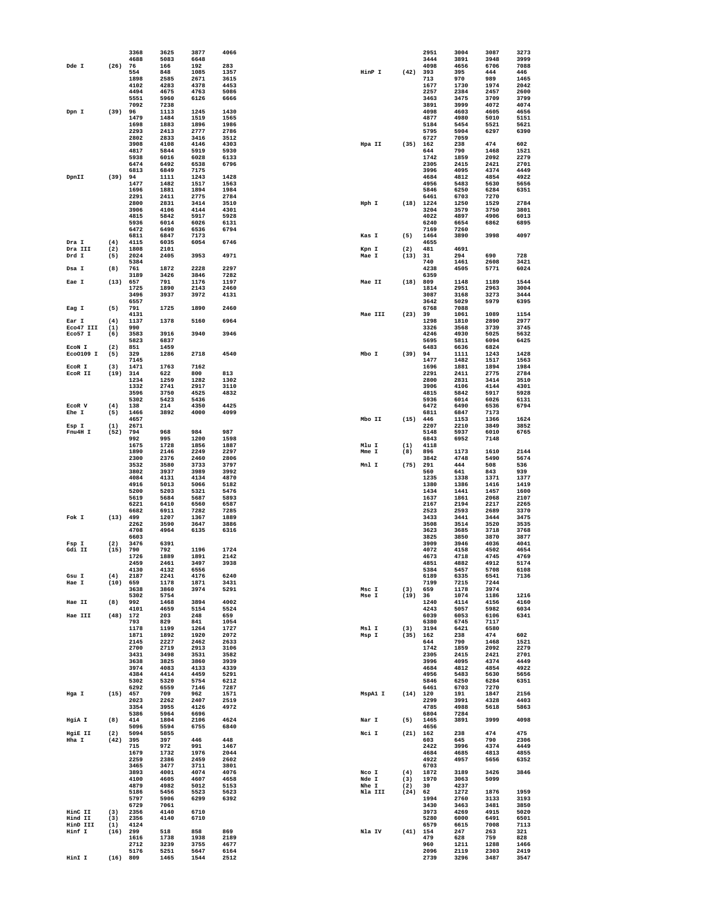|                    |             | 3368         | 3625         | 3877         | 4066         |                |             | 2951               | 3004         | 3087         | 3273         |
|--------------------|-------------|--------------|--------------|--------------|--------------|----------------|-------------|--------------------|--------------|--------------|--------------|
| Dde I              | (26)        | 4688<br>76   | 5083<br>166  | 6648<br>192  | 283          |                |             | 3444<br>4098       | 3891<br>4656 | 3948<br>6706 | 3999<br>7088 |
|                    |             | 554          | 848          | 1085         | 1357         | HinP I         | (42)        | 393                | 395          | 444          | 446          |
|                    |             | 1898         | 2585         | 2671         | 3615         |                |             | 713                | 970          | 989          | 1465         |
|                    |             | 4102         | 4283         | 4378         | 4453         |                |             | 1677               | 1730         | 1974         | 2042         |
|                    |             | 4494         | 4675         | 4763         | 5086         |                |             | 2257               | 2384         | 2457         | 2600         |
|                    |             | 5551<br>7092 | 5960<br>7238 | 6126         | 6666         |                |             | 3463<br>3891       | 3475<br>3999 | 3709<br>4072 | 3799<br>4074 |
| Dpn I              | (39)        | 96           | 1113         | 1245         | 1430         |                |             | 4098               | 4603         | 4605         | 4656         |
|                    |             | 1479         | 1484         | 1519         | 1565         |                |             | 4877               | 4980         | 5010         | 5151         |
|                    |             | 1698         | 1883         | 1896         | 1986         |                |             | 5184               | 5454         | 5521         | 5621         |
|                    |             | 2293         | 2413         | 2777         | 2786         |                |             | 5795               | 5904         | 6297         | 6390         |
|                    |             | 2802         | 2833         | 3416         | 3512         |                |             | 6727               | 7059         |              |              |
|                    |             | 3908<br>4817 | 4108<br>5844 | 4146<br>5919 | 4303<br>5930 | Hpa II         | (35)        | 162<br>644         | 238<br>790   | 474<br>1468  | 602<br>1521  |
|                    |             | 5938         | 6016         | 6028         | 6133         |                |             | 1742               | 1859         | 2092         | 2279         |
|                    |             | 6474         | 6492         | 6538         | 6796         |                |             | 2305               | 2415         | 2421         | 2701         |
|                    |             | 6813         | 6849         | 7175         |              |                |             | 3996               | 4095         | 4374         | 4449         |
| DpnII              | $(39)$ 94   |              | 1111         | 1243         | 1428         |                |             | 4684               | 4812         | 4854         | 4922         |
|                    |             | 1477<br>1696 | 1482<br>1881 | 1517<br>1894 | 1563<br>1984 |                |             | 4956<br>5846       | 5483<br>6250 | 5630<br>6284 | 5656<br>6351 |
|                    |             | 2291         | 2411         | 2775         | 2784         |                |             | 6461               | 6703         | 7270         |              |
|                    |             | 2800         | 2831         | 3414         | 3510         | Hph I          | (18)        | 1224               | 1250         | 1529         | 2784         |
|                    |             | 3906         | 4106         | 4144         | 4301         |                |             | 3204               | 3579         | 3750         | 3801         |
|                    |             | 4815         | 5842         | 5917         | 5928         |                |             | 4022               | 4897         | 4906         | 6013         |
|                    |             | 5936         | 6014         | 6026         | 6131         |                |             | 6240               | 6654         | 6862         | 6895         |
|                    |             | 6472<br>6811 | 6490<br>6847 | 6536<br>7173 | 6794         | Kas I          | (5)         | 7169<br>1464       | 7260<br>3890 | 3998         | 4097         |
| Dra I              | (4)         | 4115         | 6035         | 6054         | 6746         |                |             | 4655               |              |              |              |
| Dra III            | (2)         | 1808         | 2101         |              |              | Kpn I          | (2)         | 481                | 4691         |              |              |
| Drd I              | (5)         | 2024         | 2405         | 3953         | 4971         | Mae I          | (13)        | 31                 | 294          | 690          | 728          |
|                    |             | 5384         |              |              |              |                |             | 740                | 1461         | 2608         | 3421         |
| Dsa I              | (8)         | 761<br>3189  | 1872<br>3426 | 2228<br>3846 | 2297<br>7282 |                |             | 4238<br>6359       | 4505         | 5771         | 6024         |
| Eae I              | (13)        | 657          | 791          | 1176         | 1197         | Mae II         | (18)        | 809                | 1148         | 1189         | 1544         |
|                    |             | 1725         | 1890         | 2143         | 2460         |                |             | 1814               | 2951         | 2963         | 3004         |
|                    |             | 3496         | 3937         | 3972         | 4131         |                |             | 3087               | 3168         | 3273         | 3444         |
|                    |             | 6557         |              |              |              |                |             | 3642               | 5029         | 5979         | 6395         |
| Eag I              | (5)         | 791          | 1725         | 1890         | 2460         |                |             | 6768               | 7088         |              | 1154         |
| Ear I              | (4)         | 4131<br>1137 | 1378         | 5160         | 6964         | Mae III        | (23)        | 39<br>1298         | 1061<br>1810 | 1089<br>2890 | 2977         |
| Eco47 III          | (1)         | 990          |              |              |              |                |             | 3326               | 3568         | 3739         | 3745         |
| Eco57 I            | (6)         | 3583         | 3916         | 3940         | 3946         |                |             | 4246               | 4930         | 5025         | 5632         |
|                    |             | 5823         | 6837         |              |              |                |             | 5695               | 5811         | 6094         | 6425         |
| ECON I             | (2)         | 851          | 1459         |              |              |                |             | 6483               | 6636         | 6824         |              |
| Eco0109 I          | (5)         | 329          | 1286         | 2718         | 4540         | Mbo I          | (39)        | 94                 | 1111         | 1243         | 1428<br>1563 |
| ECOR I             | (3)         | 7145<br>1471 | 1763         | 7162         |              |                |             | 1477<br>1696       | 1482<br>1881 | 1517<br>1894 | 1984         |
| ECOR II            | (19)        | 314          | 622          | 800          | 813          |                |             | 2291               | 2411         | 2775         | 2784         |
|                    |             | 1234         | 1259         | 1282         | 1302         |                |             | 2800               | 2831         | 3414         | 3510         |
|                    |             | 1332         | 2741         | 2917         | 3110         |                |             | 3906               | 4106         | 4144         | 4301         |
|                    |             | 3596         | 3750         | 4525         | 4832         |                |             | 4815               | 5842         | 5917         | 5928         |
|                    |             | 5302         | 5423         | 5436         |              |                |             | 5936               | 6014         | 6026         | 6131         |
| ECOR V<br>Ehe I    | (4)<br>(5)  | 138<br>1466  | 214<br>3892  | 4350<br>4000 | 4425<br>4099 |                |             | 6472<br>6811       | 6490<br>6847 | 6536<br>7173 | 6794         |
|                    |             | 4657         |              |              |              | Mbo II         | (15)        | 446                | 1153         | 1366         | 1624         |
| Esp I              | (1)         | 2671         |              |              |              |                |             | 2207               | 2210         | 3849         | 3852         |
| Fnu4H I            | (52)        | 794          | 968          | 984          | 987          |                |             | 5148               | 5937         | 6010         | 6765         |
|                    |             | 992          | 995          | 1200         | 1598         |                |             | 6843               | 6952         | 7148         |              |
|                    |             | 1675         | 1728         | 1856         | 1887         | Mlu I          | (1)         | 4118               |              |              |              |
|                    |             | 1890<br>2300 | 2146<br>2376 | 2249<br>2460 | 2297<br>2806 | Mme I          | (8)         | 896<br>3842        | 1173<br>4748 | 1610<br>5490 | 2144<br>5674 |
|                    |             | 3532         | 3580         | 3733         | 3797         | Mnl I          | (75)        | 291                | 444          | 508          | 536          |
|                    |             | 3802         | 3937         | 3989         | 3992         |                |             | 560                | 641          | 843          | 939          |
|                    |             |              |              |              | 4870         |                |             | 1235               |              | 1371         |              |
|                    |             | 4084         | 4131         | 4134         |              |                |             |                    | 1338         |              | 1377         |
|                    |             | 4916         | 5013         | 5066         | 5182         |                |             | 1380               | 1386         | 1416         | 1419         |
|                    |             | 5200         | 5203         | 5321         | 5476         |                |             | 1434               | 1441         | 1457         | 1600         |
|                    |             | 5619         | 5684         | 5687         | 5893         |                |             | 1637               | 1861         | 2068         | 2107         |
|                    |             | 6221         | 6410         | 6560         | 6587         |                |             | 2167               | 2194         | 2217         | 2265         |
| Fok I              | $(13)$ 499  | 6682         | 6911<br>1207 | 7282<br>1367 | 7285<br>1889 |                |             | 2523<br>3433       | 2593<br>3441 | 2689<br>3444 | 3370<br>3475 |
|                    |             | 2262         | 3590         | 3647         | 3886         |                |             | 3508               | 3514         | 3520         | 3535         |
|                    |             | 4708         | 4964         | 6135         | 6316         |                |             | 3623               | 3685         | 3718         | 3768         |
|                    |             | 6603         |              |              |              |                |             | 3825               | 3850         | 3870         | 3877         |
| Fsp I              | (2)         | 3476         | 6391         |              |              |                |             | 3909               | 3946         | 4036         | 4041<br>4654 |
| Gdi II             | (15)        | 790<br>1726  | 792<br>1889  | 1196<br>1891 | 1724<br>2142 |                |             | 4072<br>4673       | 4158<br>4718 | 4502<br>4745 | 4769         |
|                    |             | 2459         | 2461         | 3497         | 3938         |                |             | 4851               | 4882         | 4912         | 5174         |
|                    |             | 4130         | 4132         | 6556         |              |                |             | 5384               | 5457         | 5708         | 6108         |
| Gsu I              | (4)         | 2187         | 2241         | 4176         | 6240         |                |             | 6189               | 6335         | 6541         | 7136         |
| Hae I              | $(10)$ 659  | 3638         | 1178<br>3860 | 1871<br>3974 | 3431<br>5291 | Msc I          | (3)         | 7199<br>659        | 7215<br>1178 | 7244<br>3974 |              |
|                    |             | 5302         | 5754         |              |              | Mse I          | (19) 36     |                    | 1074         | 1186         | 1216         |
| Hae II             | (8)         | 992          | 1468         | 3894         | 4002         |                |             | 1240               | 4114         | 4156         | 4160         |
|                    |             | 4101         | 4659         | 5154         | 5524         |                |             | 4243               | 5057         | 5982         | 6034         |
| Hae III            | (48)        | 172<br>793   | 203<br>829   | 248<br>841   | 659<br>1054  |                |             | 6039<br>6380       | 6053<br>6745 | 6106<br>7117 | 6341         |
|                    |             | 1178         | 1199         | 1264         | 1727         | Msl I          | (3)         | 3194               | 6421         | 6580         |              |
|                    |             | 1871         | 1892         | 1920         | 2072         | Msp I          |             | (35) 162           | 238          | 474          | 602          |
|                    |             | 2145         | 2227         | 2462         | 2633         |                |             | 644                | 790          | 1468         | 1521         |
|                    |             | 2700         | 2719         | 2913         | 3106         |                |             | 1742               | 1859         | 2092         | 2279         |
|                    |             | 3431<br>3638 | 3498<br>3825 | 3531<br>3860 | 3582<br>3939 |                |             | 2305<br>3996       | 2415<br>4095 | 2421<br>4374 | 2701<br>4449 |
|                    |             | 3974         | 4083         | 4133         | 4339         |                |             | 4684               | 4812         | 4854         | 4922         |
|                    |             | 4384         | 4414         | 4459         | 5291         |                |             | 4956               | 5483         | 5630         | 5656         |
|                    |             | 5302         | 5320         | 5754         | 6212         |                |             | 5846               | 6250         | 6284         | 6351         |
|                    |             | 6292         | 6559         | 7146         | 7287         |                |             | 6461               | 6703         | 7270         |              |
| Hga I              |             | $(15)$ 457   | 709          | 962          | 1571         | MspA1 I        |             | $(14)$ 120         | 191          | 1847         | 2156         |
|                    |             | 2023<br>3354 | 2262<br>3955 | 2407<br>4126 | 2519<br>4972 |                |             | 2299<br>4785       | 3991<br>4988 | 4328<br>5618 | 4403<br>5863 |
|                    |             | 5386         | 5964         | 6696         |              |                |             | 6804               | 7284         |              |              |
| HgiA I             | (8)         | 414          | 1804         | 2106         | 4624         | Nar I          | (5)         | 1465               | 3891         | 3999         | 4098         |
|                    |             | 5096         | 5594         | 6755         | 6840         |                |             | 4656               |              |              |              |
| HgiE II            | (2)         | 5094         | 5855         |              |              | Nci I          |             | (21) 162           | 238          | 474          | 475          |
| Hha I              | (42)        | 395<br>715   | 397<br>972   | 446<br>991   | 448<br>1467  |                |             | 603<br>2422        | 645<br>3996  | 790<br>4374  | 2306<br>4449 |
|                    |             | 1679         | 1732         | 1976         | 2044         |                |             | 4684               | 4685         | 4813         | 4855         |
|                    |             | 2259         | 2386         | 2459         | 2602         |                |             | 4922               | 4957         | 5656         | 6352         |
|                    |             | 3465         | 3477         | 3711         | 3801         |                |             | 6703               |              |              |              |
|                    |             | 3893         | 4001         | 4074         | 4076         | Nco I          | (4)         | 1872               | 3189         | 3426         | 3846         |
|                    |             | 4100<br>4879 | 4605<br>4982 | 4607<br>5012 | 4658<br>5153 | Nde I<br>Nhe I | (3)         | 1970<br>30         | 3063<br>4237 | 5099         |              |
|                    |             | 5186         | 5456         | 5523         | 5623         | Nla III        | (2)<br>(24) | 62                 | 1272         | 1876         | 1959         |
|                    |             | 5797         | 5906         | 6299         | 6392         |                |             | 1994               | 2760         | 3133         | 3193         |
|                    |             | 6729         | 7061         |              |              |                |             | 3430               | 3463         | 3481         | 3850         |
| HinC II            | (3)         | 2356         | 4140         | 6710         |              |                |             | 3973               | 4269         | 4915         | 5020         |
| Hind II            | (3)         | 2356         | 4140         | 6710         |              |                |             | 5280               | 6000         | 6491         | 6501         |
| HinD III<br>Hinf I | (1)<br>(16) | 4124<br>299  | 518          | 858          | 869          | Nla IV         |             | 6579<br>$(41)$ 154 | 6615<br>247  | 7008<br>263  | 7113<br>321  |
|                    |             | 1616         | 1738         | 1938         | 2189         |                |             | 479                | 628          | 759          | 828          |
|                    |             | 2712         | 3239         | 3755         | 4677         |                |             | 960                | 1211         | 1288         | 1466         |
| HinI I             | (16) 809    | 5176         | 5251<br>1465 | 5647<br>1544 | 6164<br>2512 |                |             | 2096<br>2739       | 2119<br>3296 | 2303<br>3487 | 2419<br>3547 |